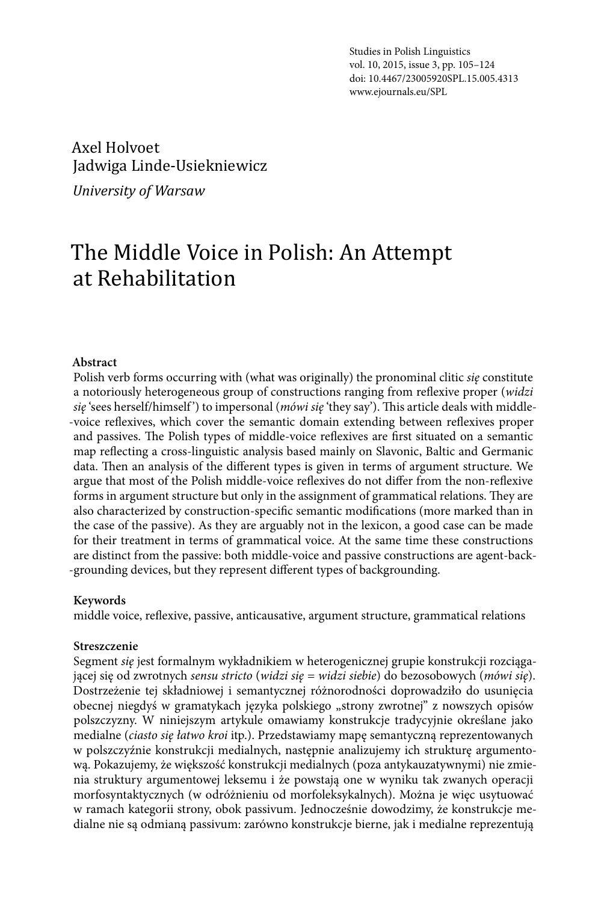Studies in Polish Linguistics vol. 10, 2015, issue 3, pp. 105–124 doi: 10.4467/23005920SPL.15.005.4313 www.ejournals.eu/SPL

#### Axel Holvoet, Jadwiga Linde-Usiekniewicz

*University of Warsaw*

# The Middle Voice in Polish: An Attempt at Rehabilitation

#### **Abstract**

Polish verb forms occurring with (what was originally) the pronominal clitic *się* constitute a notoriously heterogeneous group of constructions ranging from reflexive proper (*widzi*  sie 'sees herself/himself') to impersonal (*mówi sie* 'they say'). This article deals with middle--voice reflexives, which cover the semantic domain extending between reflexives proper and passives. The Polish types of middle-voice reflexives are first situated on a semantic map reflecting a cross-linguistic analysis based mainly on Slavonic, Baltic and Germanic data. Then an analysis of the different types is given in terms of argument structure. We argue that most of the Polish middle-voice reflexives do not differ from the non-reflexive forms in argument structure but only in the assignment of grammatical relations. They are also characterized by construction-specific semantic modifications (more marked than in the case of the passive). As they are arguably not in the lexicon, a good case can be made for their treatment in terms of grammatical voice. At the same time these constructions are distinct from the passive: both middle-voice and passive constructions are agent-back- -grounding devices, but they represent different types of backgrounding.

#### **Keywords**

middle voice, reflexive, passive, anticausative, argument structure, grammatical relations

#### **Streszczenie**

Segment *się* jest formalnym wykładnikiem w heterogenicznej grupie konstrukcji rozciągającej się od zwrotnych *sensu stricto* (*widzi się = widzi siebie*) do bezosobowych (*mówi się*). Dostrzeżenie tej składniowej i semantycznej różnorodności doprowadziło do usunięcia obecnej niegdyś w gramatykach języka polskiego "strony zwrotnej" z nowszych opisów polszczyzny. W niniejszym artykule omawiamy konstrukcje tradycyjnie określane jako medialne (*ciasto się łatwo kroi* itp.). Przedstawiamy mapę semantyczną reprezentowanych w polszczyźnie konstrukcji medialnych, następnie analizujemy ich strukturę argumentową. Pokazujemy, że większość konstrukcji medialnych (poza antykauzatywnymi) nie zmienia struktury argumentowej leksemu i że powstają one w wyniku tak zwanych operacji morfosyntaktycznych (w odróżnieniu od morfoleksykalnych). Można je więc usytuować w ramach kategorii strony, obok passivum. Jednocześnie dowodzimy, że konstrukcje medialne nie są odmianą passivum: zarówno konstrukcje bierne, jak i medialne reprezentują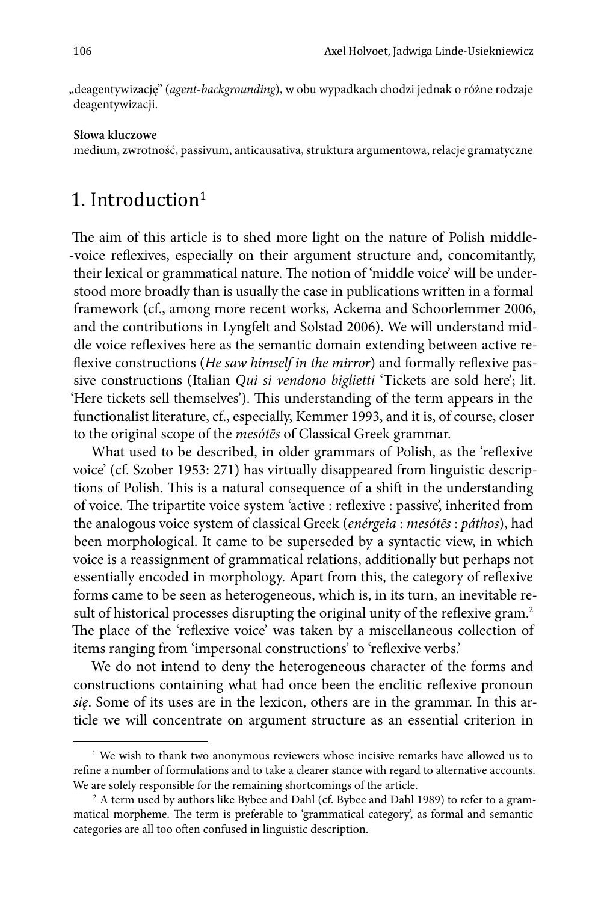"deagentywizację" (*agent-backgrounding*), w obu wypadkach chodzi jednak o różne rodzaje deagentywizacji.

#### **Słowa kluczowe**

medium, zwrotność, passivum, anticausativa, struktura argumentowa, relacje gramatyczne

#### 1. Introduction $1$

The aim of this article is to shed more light on the nature of Polish middle- -voice reflexives, especially on their argument structure and, concomitantly, their lexical or grammatical nature. The notion of 'middle voice' will be understood more broadly than is usually the case in publications written in a formal framework (cf., among more recent works, Ackema and Schoorlemmer 2006, and the contributions in Lyngfelt and Solstad 2006). We will understand middle voice reflexives here as the semantic domain extending between active reflexive constructions (*He saw himself in the mirror*) and formally reflexive passive constructions (Italian *Qui si vendono biglietti* 'Tickets are sold here'; lit. 'Here tickets sell themselves'). This understanding of the term appears in the functionalist literature, cf., especially, Kemmer 1993, and it is, of course, closer to the original scope of the *mesótēs* of Classical Greek grammar.

What used to be described, in older grammars of Polish, as the 'reflexive voice' (cf. Szober 1953: 271) has virtually disappeared from linguistic descriptions of Polish. This is a natural consequence of a shift in the understanding of voice. The tripartite voice system 'active : reflexive : passive', inherited from the analogous voice system of classical Greek (*enérgeia* : *mesótēs* : *páthos*), had been morphological. It came to be superseded by a syntactic view, in which voice is a reassignment of grammatical relations, additionally but perhaps not essentially encoded in morphology. Apart from this, the category of reflexive forms came to be seen as heterogeneous, which is, in its turn, an inevitable result of historical processes disrupting the original unity of the reflexive gram.<sup>2</sup> The place of the 'reflexive voice' was taken by a miscellaneous collection of items ranging from 'impersonal constructions' to 'reflexive verbs.'

We do not intend to deny the heterogeneous character of the forms and constructions containing what had once been the enclitic reflexive pronoun *się*. Some of its uses are in the lexicon, others are in the grammar. In this article we will concentrate on argument structure as an essential criterion in

<sup>&</sup>lt;sup>1</sup> We wish to thank two anonymous reviewers whose incisive remarks have allowed us to refine a number of formulations and to take a clearer stance with regard to alternative accounts. We are solely responsible for the remaining shortcomings of the article.

<sup>&</sup>lt;sup>2</sup> A term used by authors like Bybee and Dahl (cf. Bybee and Dahl 1989) to refer to a grammatical morpheme. The term is preferable to 'grammatical category', as formal and semantic categories are all too often confused in linguistic description.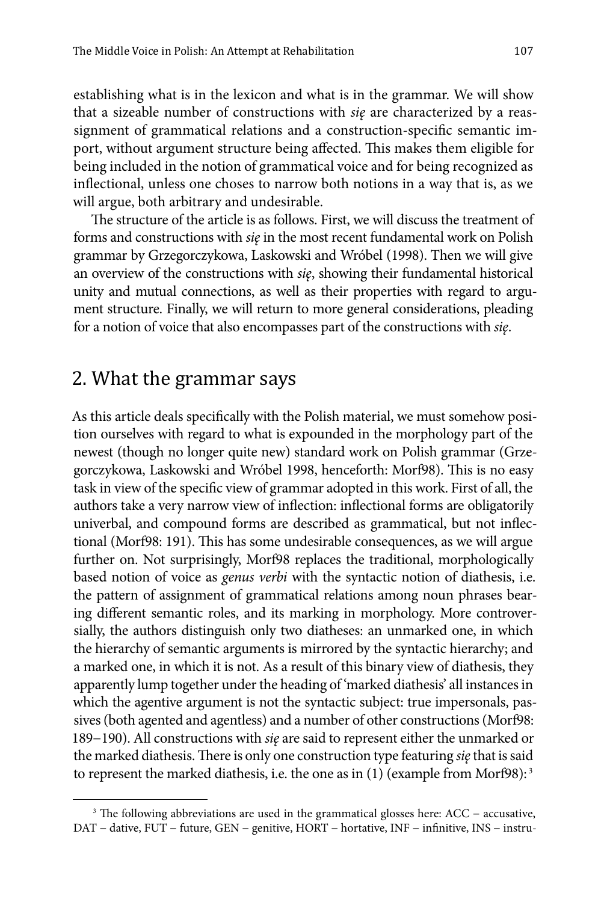establishing what is in the lexicon and what is in the grammar. We will show that a sizeable number of constructions with *się* are characterized by a reassignment of grammatical relations and a construction-specific semantic import, without argument structure being affected. This makes them eligible for being included in the notion of grammatical voice and for being recognized as inflectional, unless one choses to narrow both notions in a way that is, as we will argue, both arbitrary and undesirable.

The structure of the article is as follows. First, we will discuss the treatment of forms and constructions with *się* in the most recent fundamental work on Polish grammar by Grzegorczykowa, Laskowski and Wróbel (1998). Then we will give an overview of the constructions with *się*, showing their fundamental historical unity and mutual connections, as well as their properties with regard to argument structure. Finally, we will return to more general considerations, pleading for a notion of voice that also encompasses part of the constructions with *się*.

### 2. What the grammar says

As this article deals specifically with the Polish material, we must somehow position ourselves with regard to what is expounded in the morphology part of the newest (though no longer quite new) standard work on Polish grammar (Grzegorczykowa, Laskowski and Wróbel 1998, henceforth: Morf98). This is no easy task in view of the specific view of grammar adopted in this work. First of all, the authors take a very narrow view of inflection: inflectional forms are obligatorily univerbal, and compound forms are described as grammatical, but not inflectional (Morf98: 191). This has some undesirable consequences, as we will argue further on. Not surprisingly, Morf98 replaces the traditional, morphologically based notion of voice as *genus verbi* with the syntactic notion of diathesis, i.e. the pattern of assignment of grammatical relations among noun phrases bearing different semantic roles, and its marking in morphology. More controversially, the authors distinguish only two diatheses: an unmarked one, in which the hierarchy of semantic arguments is mirrored by the syntactic hierarchy; and a marked one, in which it is not. As a result of this binary view of diathesis, they apparently lump together under the heading of 'marked diathesis' all instances in which the agentive argument is not the syntactic subject: true impersonals, passives (both agented and agentless) and a number of other constructions (Morf98: 189−190). All constructions with *się* are said to represent either the unmarked or the marked diathesis. There is only one construction type featuring *się* that is said to represent the marked diathesis, i.e. the one as in (1) (example from Morf98): 3

<sup>&</sup>lt;sup>3</sup> The following abbreviations are used in the grammatical glosses here: ACC – accusative, DAT − dative, FUT − future, GEN − genitive, HORT − hortative, INF − infinitive, INS − instru-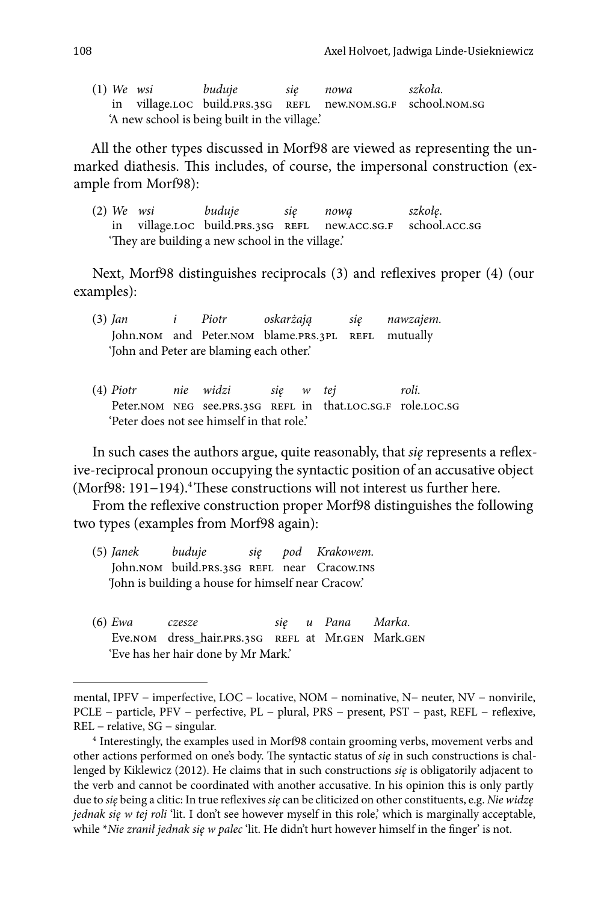(1) *We wsi buduje się nowa szkoła.* in village.LOC build.prs.3SG REFL 'A new school is being built in the village.'

All the other types discussed in Morf98 are viewed as representing the unmarked diathesis. This includes, of course, the impersonal construction (example from Morf98):

(2) *We wsi buduje się nową szkołę*. in village.loc build.prs.3sg refl new.acc.sg.f school.acc.sg 'They are building a new school in the village.'

Next, Morf98 distinguishes reciprocals (3) and reflexives proper (4) (our examples):

- (3) *Jan i Piotr oskarżają się nawzajem.* John.nom and Peter.nom blame.prs.3pl REFL mutually 'John and Peter are blaming each other.'
- (4) *Piotr nie widzi się w tej roli.* Peter.NOM NEG see.PRS.3SG REFL in that.LOC.SG.F role.LOC.SG 'Peter does not see himself in that role.'

In such cases the authors argue, quite reasonably, that *się* represents a reflexive-reciprocal pronoun occupying the syntactic position of an accusative object (Morf98: 191−194).4 These constructions will not interest us further here.

From the reflexive construction proper Morf98 distinguishes the following two types (examples from Morf98 again):

- (5) *Janek buduje się pod Krakowem.* John.nom build.prs.3SG REFL near Cracow.ins *'*John is building a house for himself near Cracow.'
- (6) *Ewa czesze się u Pana Marka.* Eve.nom dress hair.prs.3sg refl at Mr.gen Mark.gen 'Eve has her hair done by Mr Mark.'

mental, IPFV − imperfective, LOC − locative, NOM − nominative, N− neuter, NV − nonvirile, PCLE − particle, PFV − perfective, PL − plural, PRS − present, PST − past, REFL − reflexive, REL − relative, SG − singular.

<sup>4</sup> Interestingly, the examples used in Morf98 contain grooming verbs, movement verbs and other actions performed on one's body. The syntactic status of *się* in such constructions is challenged by Kiklewicz (2012). He claims that in such constructions *się* is obligatorily adjacent to the verb and cannot be coordinated with another accusative. In his opinion this is only partly due to *się* being a clitic: In true reflexives *się* can be cliticized on other constituents, e.g. *Nie widzę jednak się w tej roli* 'lit. I don't see however myself in this role,' which is marginally acceptable, while \**Nie zranił jednak się w palec* 'lit. He didn't hurt however himself in the finger' is not.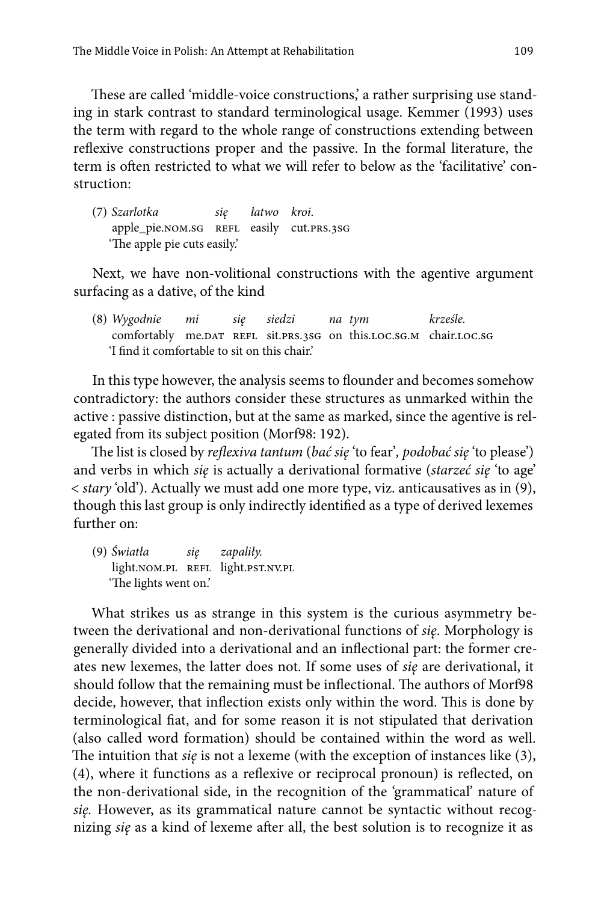These are called 'middle-voice constructions,' a rather surprising use standing in stark contrast to standard terminological usage. Kemmer (1993) uses the term with regard to the whole range of constructions extending between reflexive constructions proper and the passive. In the formal literature, the term is often restricted to what we will refer to below as the 'facilitative' construction:

(7) *Szarlotka się łatwo kroi*. apple\_pie.nom.sg REFL easily cut.PRS.3SG 'The apple pie cuts easily.'

Next, we have non-volitional constructions with the agentive argument surfacing as a dative, of the kind

(8) *Wygodnie mi się siedzi na tym krześle.* comfortably me.DAT REFL sit.PRS.3SG on this.LOC.SG.M chair.LOC.SG 'I find it comfortable to sit on this chair.'

In this type however, the analysis seems to flounder and becomes somehow contradictory: the authors consider these structures as unmarked within the active : passive distinction, but at the same as marked, since the agentive is relegated from its subject position (Morf98: 192).

The list is closed by *reflexiva tantum* (*bać się* 'to fear'*, podobać się* 'to please') and verbs in which *się* is actually a derivational formative (*starzeć się* 'to age' < *stary* 'old'). Actually we must add one more type, viz. anticausatives as in (9), though this last group is only indirectly identified as a type of derived lexemes further on:

(9) *Światła się zapaliły.* light.nom.pl refl light.pst.nv.pl 'The lights went on.'

What strikes us as strange in this system is the curious asymmetry between the derivational and non-derivational functions of *się*. Morphology is generally divided into a derivational and an inflectional part: the former creates new lexemes, the latter does not. If some uses of *się* are derivational, it should follow that the remaining must be inflectional. The authors of Morf98 decide, however, that inflection exists only within the word. This is done by terminological fiat, and for some reason it is not stipulated that derivation (also called word formation) should be contained within the word as well. The intuition that *się* is not a lexeme (with the exception of instances like (3), (4), where it functions as a reflexive or reciprocal pronoun) is reflected, on the non-derivational side, in the recognition of the 'grammatical' nature of *się.* However, as its grammatical nature cannot be syntactic without recognizing *się* as a kind of lexeme after all, the best solution is to recognize it as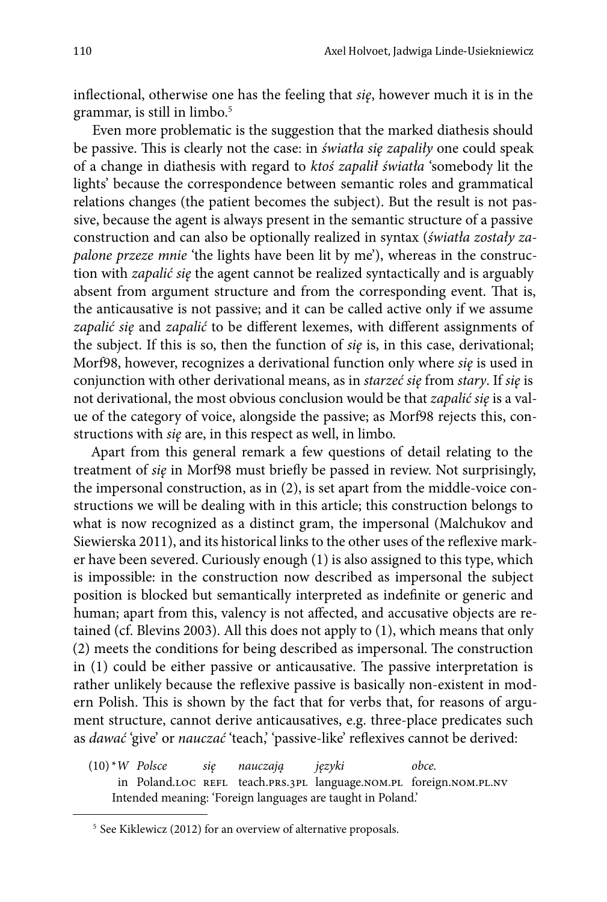inflectional, otherwise one has the feeling that *się*, however much it is in the grammar, is still in limbo.<sup>5</sup>

Even more problematic is the suggestion that the marked diathesis should be passive. This is clearly not the case: in *światła się zapaliły* one could speak of a change in diathesis with regard to *ktoś zapalił światła* 'somebody lit the lights' because the correspondence between semantic roles and grammatical relations changes (the patient becomes the subject). But the result is not passive, because the agent is always present in the semantic structure of a passive construction and can also be optionally realized in syntax (*światła zostały zapalone przeze mnie* 'the lights have been lit by me'), whereas in the construction with *zapalić się* the agent cannot be realized syntactically and is arguably absent from argument structure and from the corresponding event. That is, the anticausative is not passive; and it can be called active only if we assume *zapalić się* and *zapalić* to be different lexemes, with different assignments of the subject. If this is so, then the function of *się* is, in this case, derivational; Morf98, however, recognizes a derivational function only where *się* is used in conjunction with other derivational means, as in *starzeć się* from *stary*. If *się* is not derivational, the most obvious conclusion would be that *zapalić się* is a value of the category of voice, alongside the passive; as Morf98 rejects this, constructions with *się* are, in this respect as well, in limbo.

Apart from this general remark a few questions of detail relating to the treatment of *się* in Morf98 must briefly be passed in review. Not surprisingly, the impersonal construction, as in (2), is set apart from the middle-voice constructions we will be dealing with in this article; this construction belongs to what is now recognized as a distinct gram, the impersonal (Malchukov and Siewierska 2011), and its historical links to the other uses of the reflexive marker have been severed. Curiously enough (1) is also assigned to this type, which is impossible: in the construction now described as impersonal the subject position is blocked but semantically interpreted as indefinite or generic and human; apart from this, valency is not affected, and accusative objects are retained (cf. Blevins 2003). All this does not apply to (1), which means that only (2) meets the conditions for being described as impersonal. The construction in (1) could be either passive or anticausative. The passive interpretation is rather unlikely because the reflexive passive is basically non-existent in modern Polish. This is shown by the fact that for verbs that, for reasons of argument structure, cannot derive anticausatives, e.g. three-place predicates such as *dawać* 'give' or *nauczać* 'teach,' 'passive-like' reflexives cannot be derived:

(10) \**W Polsce się nauczają języki obce.* in Poland.loc refl teach.prs.3pl language.nom.pl foreign.nom.pl.nv Intended meaning: 'Foreign languages are taught in Poland.'

<sup>&</sup>lt;sup>5</sup> See Kiklewicz (2012) for an overview of alternative proposals.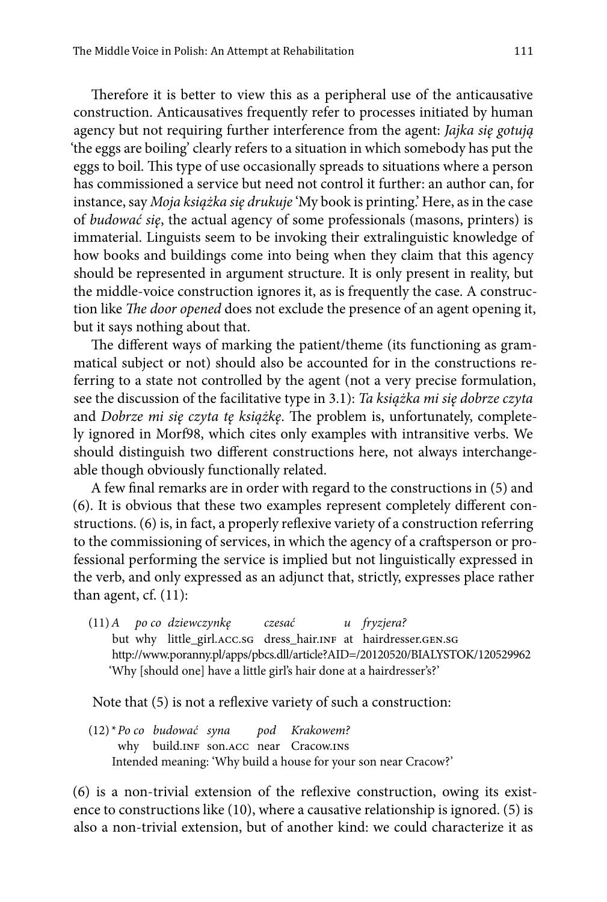Therefore it is better to view this as a peripheral use of the anticausative construction. Anticausatives frequently refer to processes initiated by human agency but not requiring further interference from the agent: *Jajka się gotują*  'the eggs are boiling' clearly refers to a situation in which somebody has put the eggs to boil. This type of use occasionally spreads to situations where a person has commissioned a service but need not control it further: an author can, for instance, say *Moja książka się drukuje* 'My book is printing.' Here, as in the case of *budować się*, the actual agency of some professionals (masons, printers) is immaterial. Linguists seem to be invoking their extralinguistic knowledge of how books and buildings come into being when they claim that this agency should be represented in argument structure. It is only present in reality, but the middle-voice construction ignores it, as is frequently the case. A construction like *The door opened* does not exclude the presence of an agent opening it, but it says nothing about that.

The different ways of marking the patient/theme (its functioning as grammatical subject or not) should also be accounted for in the constructions referring to a state not controlled by the agent (not a very precise formulation, see the discussion of the facilitative type in 3.1): *Ta książka mi się dobrze czyta*  and *Dobrze mi się czyta tę książkę*. The problem is, unfortunately, completely ignored in Morf98, which cites only examples with intransitive verbs. We should distinguish two different constructions here, not always interchangeable though obviously functionally related.

A few final remarks are in order with regard to the constructions in (5) and (6). It is obvious that these two examples represent completely different constructions. (6) is, in fact, a properly reflexive variety of a construction referring to the commissioning of services, in which the agency of a craftsperson or professional performing the service is implied but not linguistically expressed in the verb, and only expressed as an adjunct that, strictly, expresses place rather than agent, cf. (11):

(11)*A po co dziewczynkę czesać u fryzjera?* but why little\_girl.acc.sg dress\_hair.INF at hairdresser.gen.sg http://www.poranny.pl/apps/pbcs.dll/article?AID=/20120520/BIALYSTOK/120529962 'Why [should one] have a little girl's hair done at a hairdresser's?'

Note that (5) is not a reflexive variety of such a construction:

(12) \**Po co budować syna pod Krakowem?* why build.INF son.ACC near Cracow.INS Intended meaning: 'Why build a house for your son near Cracow?'

(6) is a non-trivial extension of the reflexive construction, owing its existence to constructions like (10), where a causative relationship is ignored. (5) is also a non-trivial extension, but of another kind: we could characterize it as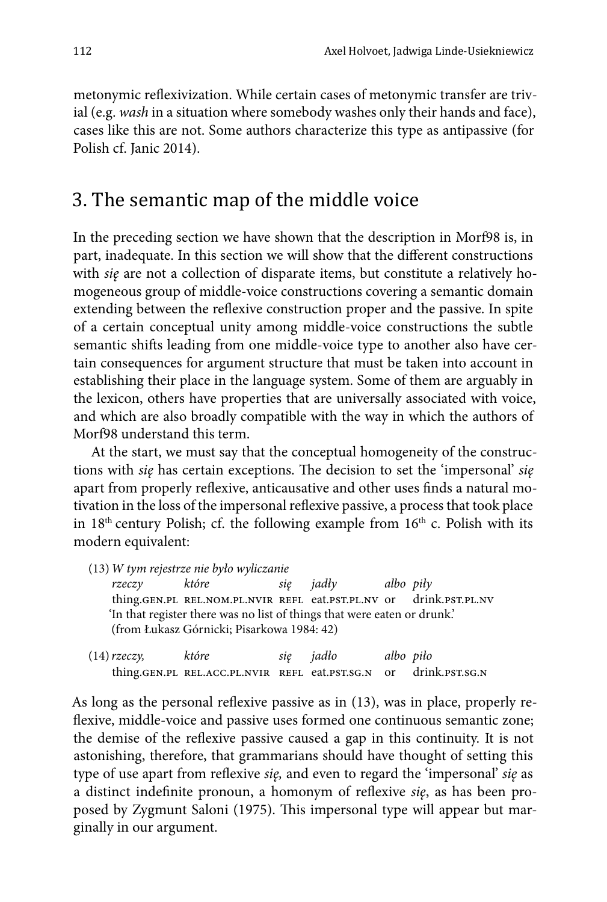metonymic reflexivization. While certain cases of metonymic transfer are trivial (e.g. *wash* in a situation where somebody washes only their hands and face), cases like this are not. Some authors characterize this type as antipassive (for Polish cf. Janic 2014).

### 3. The semantic map of the middle voice

In the preceding section we have shown that the description in Morf98 is, in part, inadequate. In this section we will show that the different constructions with *się* are not a collection of disparate items, but constitute a relatively homogeneous group of middle-voice constructions covering a semantic domain extending between the reflexive construction proper and the passive. In spite of a certain conceptual unity among middle-voice constructions the subtle semantic shifts leading from one middle-voice type to another also have certain consequences for argument structure that must be taken into account in establishing their place in the language system. Some of them are arguably in the lexicon, others have properties that are universally associated with voice, and which are also broadly compatible with the way in which the authors of Morf98 understand this term.

At the start, we must say that the conceptual homogeneity of the constructions with *się* has certain exceptions. The decision to set the 'impersonal' *się* apart from properly reflexive, anticausative and other uses finds a natural motivation in the loss of the impersonal reflexive passive, a process that took place in  $18<sup>th</sup>$  century Polish; cf. the following example from  $16<sup>th</sup>$  c. Polish with its modern equivalent:

(13)*W tym rejestrze nie było wyliczanie rzeczy które się jadły albo piły* thing.gen.pl rel.nom.pl.nvir refl eat.pst.pl.nv or drink.pst.pl.nv 'In that register there was no list of things that were eaten or drunk.' (from Łukasz Górnicki; Pisarkowa 1984: 42)

| $(14)$ rzeczy, | które                                                            | się jadło | albo piło |  |
|----------------|------------------------------------------------------------------|-----------|-----------|--|
|                | thing.GEN.PL REL.ACC.PL.NVIR REFL eat.PST.SG.N or drink.PST.SG.N |           |           |  |

As long as the personal reflexive passive as in (13), was in place, properly reflexive, middle-voice and passive uses formed one continuous semantic zone; the demise of the reflexive passive caused a gap in this continuity. It is not astonishing, therefore, that grammarians should have thought of setting this type of use apart from reflexive *się,* and even to regard the 'impersonal' *się* as a distinct indefinite pronoun, a homonym of reflexive *się*, as has been proposed by Zygmunt Saloni (1975). This impersonal type will appear but marginally in our argument.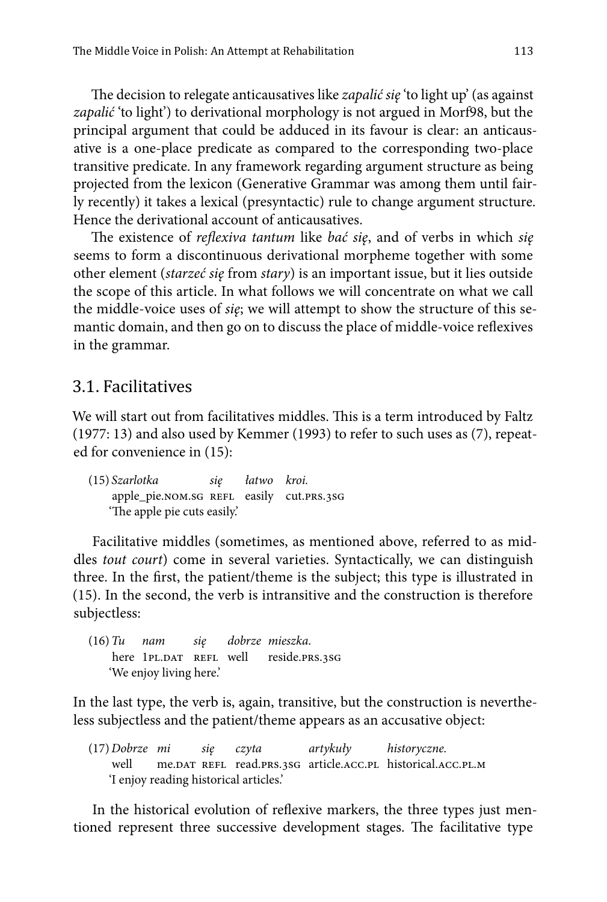The decision to relegate anticausatives like *zapalić się* 'to light up' (as against *zapalić* 'to light') to derivational morphology is not argued in Morf98, but the principal argument that could be adduced in its favour is clear: an anticausative is a one-place predicate as compared to the corresponding two-place transitive predicate. In any framework regarding argument structure as being projected from the lexicon (Generative Grammar was among them until fairly recently) it takes a lexical (presyntactic) rule to change argument structure. Hence the derivational account of anticausatives.

The existence of *reflexiva tantum* like *bać się*, and of verbs in which *się*  seems to form a discontinuous derivational morpheme together with some other element (*starzeć się* from *stary*) is an important issue, but it lies outside the scope of this article. In what follows we will concentrate on what we call the middle-voice uses of *się*; we will attempt to show the structure of this semantic domain, and then go on to discuss the place of middle-voice reflexives in the grammar.

#### 3.1. Facilitatives

We will start out from facilitatives middles. This is a term introduced by Faltz (1977: 13) and also used by Kemmer (1993) to refer to such uses as (7), repeated for convenience in (15):

(15) *Szarlotka się łatwo kroi.* apple\_pie.nom.sg REFL easily cut.prs.3sG 'The apple pie cuts easily.'

Facilitative middles (sometimes, as mentioned above, referred to as middles *tout court*) come in several varieties. Syntactically, we can distinguish three. In the first, the patient/theme is the subject; this type is illustrated in (15). In the second, the verb is intransitive and the construction is therefore subjectless:

(16)*Tu nam się dobrze mieszka*. here 1PL.DAT REFL well reside.PRS.3SG 'We enjoy living here.'

In the last type, the verb is, again, transitive, but the construction is nevertheless subjectless and the patient/theme appears as an accusative object:

(17)*Dobrze mi się czyta artykuły historyczne.* well me.DAT REFL read.PRS.3SG article.ACC.PL historical.ACC.PL.M 'I enjoy reading historical articles.'

In the historical evolution of reflexive markers, the three types just mentioned represent three successive development stages. The facilitative type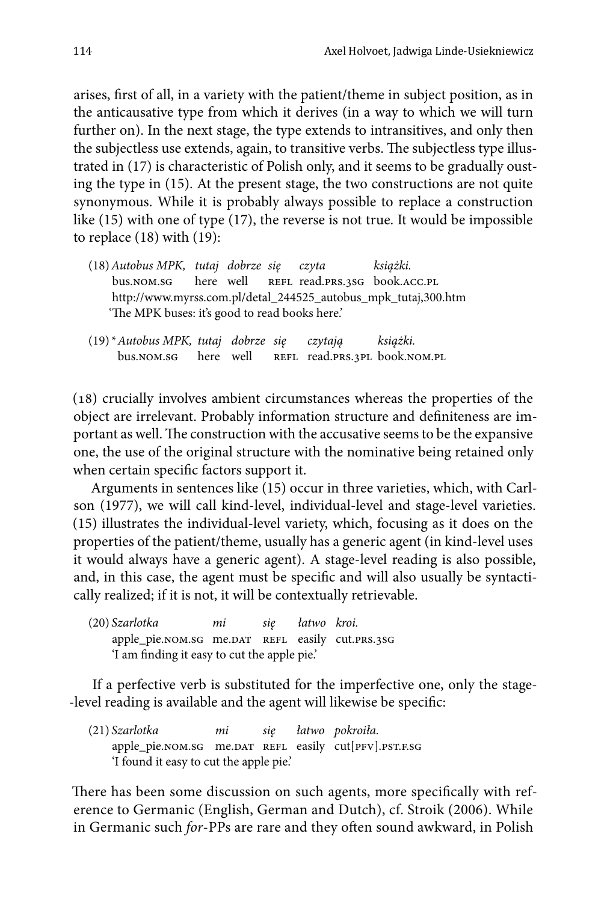arises, first of all, in a variety with the patient/theme in subject position, as in the anticausative type from which it derives (in a way to which we will turn further on). In the next stage, the type extends to intransitives, and only then the subjectless use extends, again, to transitive verbs. The subjectless type illustrated in (17) is characteristic of Polish only, and it seems to be gradually ousting the type in (15). At the present stage, the two constructions are not quite synonymous. While it is probably always possible to replace a construction like (15) with one of type (17), the reverse is not true. It would be impossible to replace (18) with (19):

- (18)*Autobus MPK, tutaj dobrze się czyta książki.* bus.nom.sg here well REFL read.prs.3sg book.acc.pl http://www.myrss.com.pl/detal\_244525\_autobus\_mpk\_tutaj,300.htm 'The MPK buses: it's good to read books here.'
- (19) \**Autobus MPK, tutaj dobrze się czytają książki.* bus.nom.sg here well REFL read.PRS.3PL book.nom.PL

(18) crucially involves ambient circumstances whereas the properties of the object are irrelevant. Probably information structure and definiteness are important as well. The construction with the accusative seems to be the expansive one, the use of the original structure with the nominative being retained only when certain specific factors support it.

Arguments in sentences like (15) occur in three varieties, which, with Carlson (1977), we will call kind-level, individual-level and stage-level varieties. (15) illustrates the individual-level variety, which, focusing as it does on the properties of the patient/theme, usually has a generic agent (in kind-level uses it would always have a generic agent). A stage-level reading is also possible, and, in this case, the agent must be specific and will also usually be syntactically realized; if it is not, it will be contextually retrievable.

(20) *Szarlotka mi się łatwo kroi.* apple\_pie.nom.sg me.DAT REFL easily cut.prs.3sG 'I am finding it easy to cut the apple pie.'

If a perfective verb is substituted for the imperfective one, only the stage- -level reading is available and the agent will likewise be specific:

(21) *Szarlotka mi się łatwo pokroiła.* apple\_pie.nom.sg me.DAT REFL easily cut[PFV].PST.F.SG 'I found it easy to cut the apple pie.'

There has been some discussion on such agents, more specifically with reference to Germanic (English, German and Dutch), cf. Stroik (2006). While in Germanic such *for*-PPs are rare and they often sound awkward, in Polish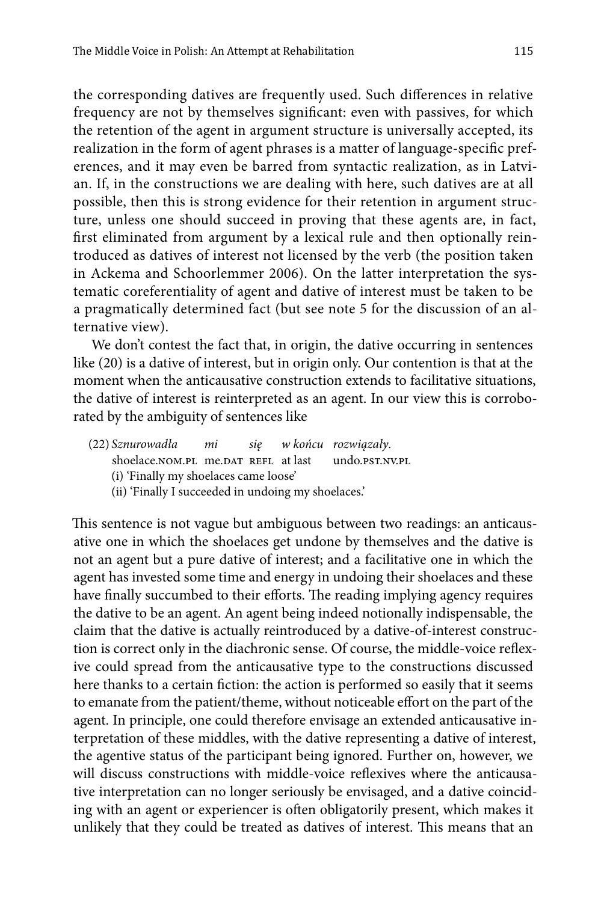the corresponding datives are frequently used. Such differences in relative frequency are not by themselves significant: even with passives, for which the retention of the agent in argument structure is universally accepted, its realization in the form of agent phrases is a matter of language-specific preferences, and it may even be barred from syntactic realization, as in Latvian. If, in the constructions we are dealing with here, such datives are at all possible, then this is strong evidence for their retention in argument structure, unless one should succeed in proving that these agents are, in fact, first eliminated from argument by a lexical rule and then optionally reintroduced as datives of interest not licensed by the verb (the position taken in Ackema and Schoorlemmer 2006). On the latter interpretation the systematic coreferentiality of agent and dative of interest must be taken to be a pragmatically determined fact (but see note 5 for the discussion of an alternative view).

We don't contest the fact that, in origin, the dative occurring in sentences like (20) is a dative of interest, but in origin only. Our contention is that at the moment when the anticausative construction extends to facilitative situations, the dative of interest is reinterpreted as an agent. In our view this is corroborated by the ambiguity of sentences like

- (22) *Sznurowadła mi się w końcu rozwiązały*. shoelace.nom.pl me.pat REFL at last undo.psT.NV.PL
	- (i) 'Finally my shoelaces came loose'
	- (ii) 'Finally I succeeded in undoing my shoelaces.'

This sentence is not vague but ambiguous between two readings: an anticausative one in which the shoelaces get undone by themselves and the dative is not an agent but a pure dative of interest; and a facilitative one in which the agent has invested some time and energy in undoing their shoelaces and these have finally succumbed to their efforts. The reading implying agency requires the dative to be an agent. An agent being indeed notionally indispensable, the claim that the dative is actually reintroduced by a dative-of-interest construction is correct only in the diachronic sense. Of course, the middle-voice reflexive could spread from the anticausative type to the constructions discussed here thanks to a certain fiction: the action is performed so easily that it seems to emanate from the patient/theme, without noticeable effort on the part of the agent. In principle, one could therefore envisage an extended anticausative interpretation of these middles, with the dative representing a dative of interest, the agentive status of the participant being ignored. Further on, however, we will discuss constructions with middle-voice reflexives where the anticausative interpretation can no longer seriously be envisaged, and a dative coinciding with an agent or experiencer is often obligatorily present, which makes it unlikely that they could be treated as datives of interest. This means that an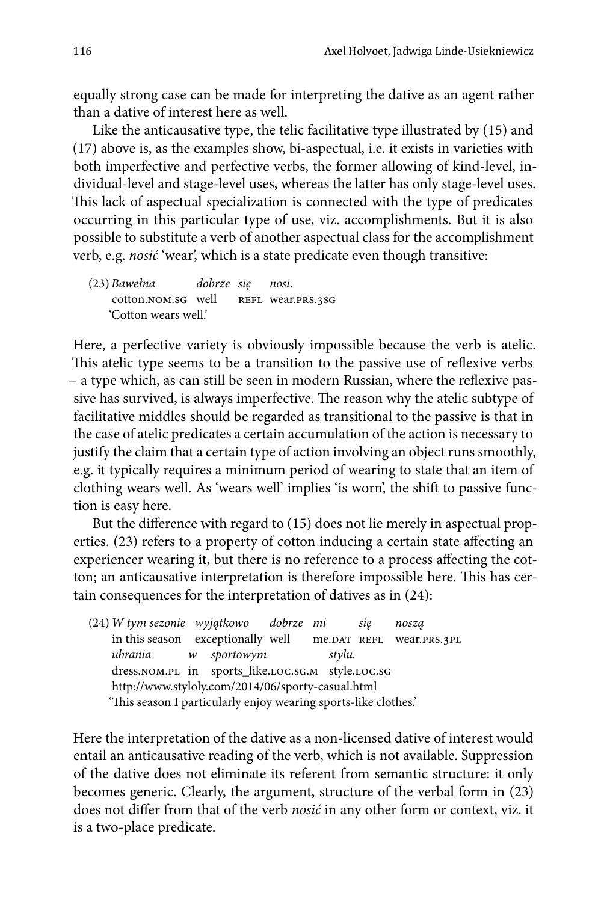equally strong case can be made for interpreting the dative as an agent rather than a dative of interest here as well.

Like the anticausative type, the telic facilitative type illustrated by (15) and (17) above is, as the examples show, bi-aspectual, i.e. it exists in varieties with both imperfective and perfective verbs, the former allowing of kind-level, individual-level and stage-level uses, whereas the latter has only stage-level uses. This lack of aspectual specialization is connected with the type of predicates occurring in this particular type of use, viz. accomplishments. But it is also possible to substitute a verb of another aspectual class for the accomplishment verb, e.g. *nosić* 'wear', which is a state predicate even though transitive:

(23)*Bawełna dobrze się nosi*. cotton.nom.sg well REFL wear.prs.3sg 'Cotton wears well.'

Here, a perfective variety is obviously impossible because the verb is atelic. This atelic type seems to be a transition to the passive use of reflexive verbs − a type which, as can still be seen in modern Russian, where the reflexive passive has survived, is always imperfective. The reason why the atelic subtype of facilitative middles should be regarded as transitional to the passive is that in the case of atelic predicates a certain accumulation of the action is necessary to justify the claim that a certain type of action involving an object runs smoothly, e.g. it typically requires a minimum period of wearing to state that an item of clothing wears well. As 'wears well' implies 'is worn', the shift to passive function is easy here.

But the difference with regard to (15) does not lie merely in aspectual properties. (23) refers to a property of cotton inducing a certain state affecting an experiencer wearing it, but there is no reference to a process affecting the cotton; an anticausative interpretation is therefore impossible here. This has certain consequences for the interpretation of datives as in (24):

(24)*W tym sezonie wyjątkowo dobrze mi się noszą* in this season exceptionally well me.DAT REFL wear.PRS.3PL *ubrania w sportowym stylu.* dress.nom.pl in sports\_like.loc.sg.m style.loc.sg http://www.styloly.com/2014/06/sporty-casual.html 'This season I particularly enjoy wearing sports-like clothes.'

Here the interpretation of the dative as a non-licensed dative of interest would entail an anticausative reading of the verb, which is not available. Suppression of the dative does not eliminate its referent from semantic structure: it only becomes generic. Clearly, the argument, structure of the verbal form in (23) does not differ from that of the verb *nosić* in any other form or context, viz. it is a two-place predicate.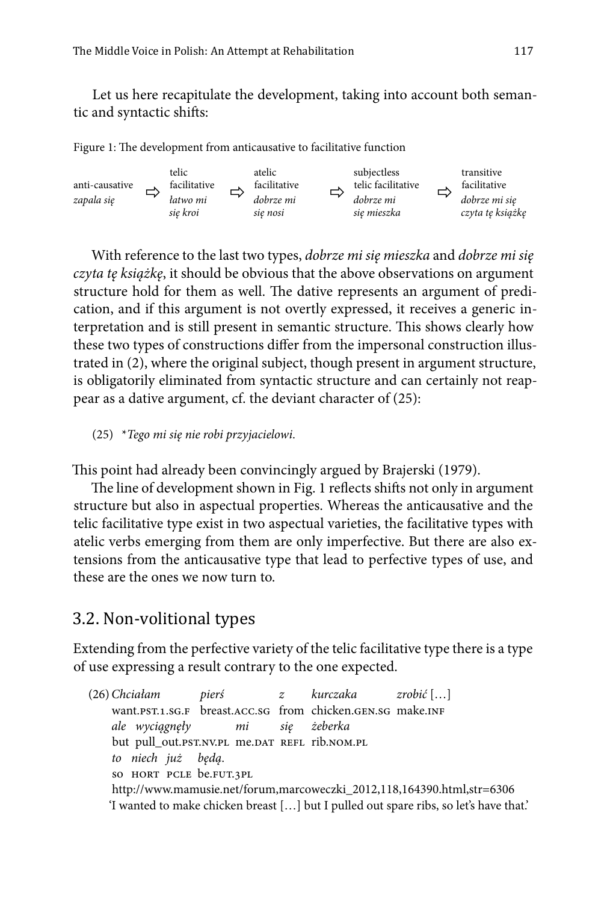Let us here recapitulate the development, taking into account both semantic and syntactic shifts:

Figure 1: The development from anticausative to facilitative function



With reference to the last two types, *dobrze mi się mieszka* and *dobrze mi się czyta tę książkę*, it should be obvious that the above observations on argument structure hold for them as well. The dative represents an argument of predication, and if this argument is not overtly expressed, it receives a generic interpretation and is still present in semantic structure. This shows clearly how these two types of constructions differ from the impersonal construction illustrated in (2), where the original subject, though present in argument structure, is obligatorily eliminated from syntactic structure and can certainly not reappear as a dative argument, cf. the deviant character of (25):

(25) \**Tego mi się nie robi przyjacielowi*.

This point had already been convincingly argued by Brajerski (1979).

The line of development shown in Fig. 1 reflects shifts not only in argument structure but also in aspectual properties. Whereas the anticausative and the telic facilitative type exist in two aspectual varieties, the facilitative types with atelic verbs emerging from them are only imperfective. But there are also extensions from the anticausative type that lead to perfective types of use, and these are the ones we now turn to.

### 3.2. Non-volitional types

Extending from the perfective variety of the telic facilitative type there is a type of use expressing a result contrary to the one expected.

(26)*Chciałam pierś z kurczaka zrobić* […] want.pst.1.sg.F breast.ACC.sg from chicken.gen.sg make.INF *ale wyciągnęły mi się żeberka*  but pull\_out.pst.nv.pl me.dat refl rib.nom.pl *to niech już będą*. so hort pcle be.fut.3pl http://www.mamusie.net/forum,marcoweczki\_2012,118,164390.html,str=6306 'I wanted to make chicken breast […] but I pulled out spare ribs, so let's have that.'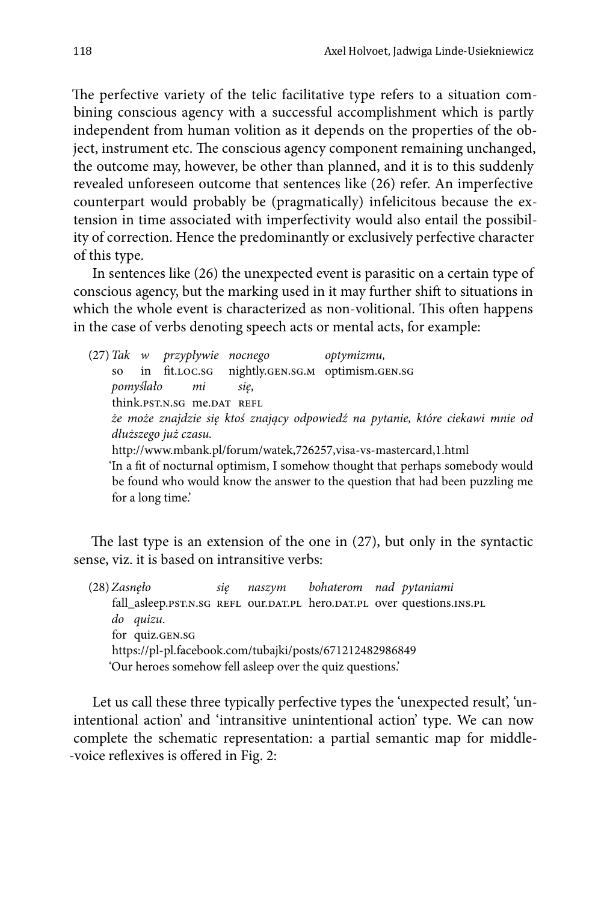The perfective variety of the telic facilitative type refers to a situation combining conscious agency with a successful accomplishment which is partly independent from human volition as it depends on the properties of the object, instrument etc. The conscious agency component remaining unchanged, the outcome may, however, be other than planned, and it is to this suddenly revealed unforeseen outcome that sentences like (26) refer. An imperfective counterpart would probably be (pragmatically) infelicitous because the extension in time associated with imperfectivity would also entail the possibility of correction. Hence the predominantly or exclusively perfective character of this type.

In sentences like (26) the unexpected event is parasitic on a certain type of conscious agency, but the marking used in it may further shift to situations in which the whole event is characterized as non-volitional. This often happens in the case of verbs denoting speech acts or mental acts, for example:

(27)*Tak w przypływie nocnego optymizmu,* so in fit.loc.sg nightly.gen.sg.m optimism.gen.sg *pomyślało mi się,* think.pst.n.sg me.DAT REFL *że może znajdzie się ktoś znający odpowiedź na pytanie, które ciekawi mnie od dłuższego już czasu.*  http://www.mbank.pl/forum/watek,726257,visa-vs-mastercard,1.html 'In a fit of nocturnal optimism, I somehow thought that perhaps somebody would be found who would know the answer to the question that had been puzzling me for a long time.'

The last type is an extension of the one in (27), but only in the syntactic sense, viz. it is based on intransitive verbs:

(28)*Zasnęło się naszym bohaterom nad pytaniami*  fall\_asleep.psT.N.SG REFL our.DAT.PL hero.DAT.PL over questions.INS.PL *do quizu*. for quiz.GEN.SG https://pl-pl.facebook.com/tubajki/posts/671212482986849 'Our heroes somehow fell asleep over the quiz questions.'

Let us call these three typically perfective types the 'unexpected result', 'unintentional action' and 'intransitive unintentional action' type. We can now complete the schematic representation: a partial semantic map for middle- -voice reflexives is offered in Fig. 2: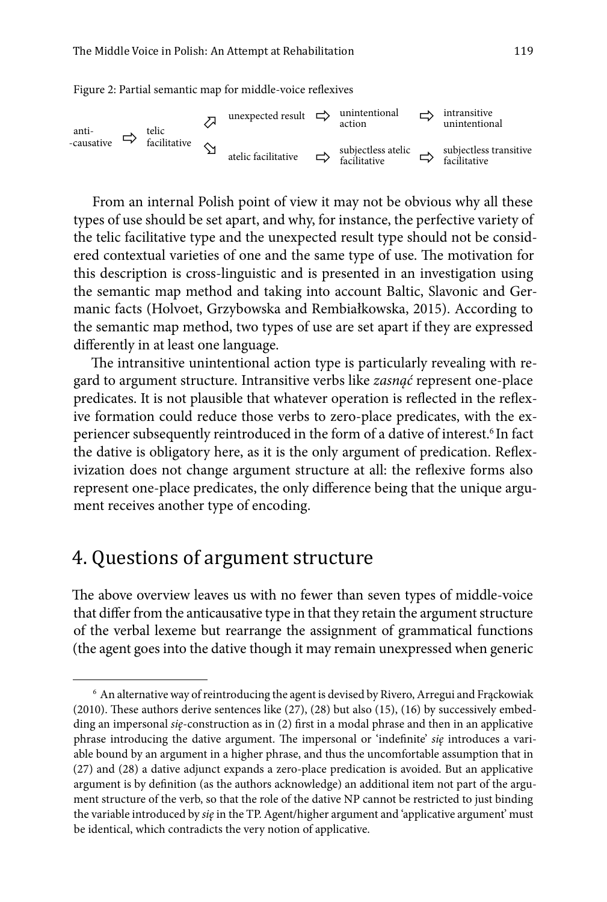Figure 2: Partial semantic map for middle-voice reflexives



From an internal Polish point of view it may not be obvious why all these types of use should be set apart, and why, for instance, the perfective variety of the telic facilitative type and the unexpected result type should not be considered contextual varieties of one and the same type of use. The motivation for this description is cross-linguistic and is presented in an investigation using the semantic map method and taking into account Baltic, Slavonic and Germanic facts (Holvoet, Grzybowska and Rembiałkowska, 2015). According to the semantic map method, two types of use are set apart if they are expressed differently in at least one language.

The intransitive unintentional action type is particularly revealing with regard to argument structure. Intransitive verbs like *zasnąć* represent one-place predicates. It is not plausible that whatever operation is reflected in the reflexive formation could reduce those verbs to zero-place predicates, with the experiencer subsequently reintroduced in the form of a dative of interest.<sup>6</sup> In fact the dative is obligatory here, as it is the only argument of predication. Reflexivization does not change argument structure at all: the reflexive forms also represent one-place predicates, the only difference being that the unique argument receives another type of encoding.

### 4. Questions of argument structure

The above overview leaves us with no fewer than seven types of middle-voice that differ from the anticausative type in that they retain the argument structure of the verbal lexeme but rearrange the assignment of grammatical functions (the agent goes into the dative though it may remain unexpressed when generic

<sup>6</sup> An alternative way of reintroducing the agent is devised by Rivero, Arregui and Frąckowiak (2010). These authors derive sentences like (27), (28) but also (15), (16) by successively embedding an impersonal *się*-construction as in (2) first in a modal phrase and then in an applicative phrase introducing the dative argument. The impersonal or 'indefinite' *się* introduces a variable bound by an argument in a higher phrase, and thus the uncomfortable assumption that in (27) and (28) a dative adjunct expands a zero-place predication is avoided. But an applicative argument is by definition (as the authors acknowledge) an additional item not part of the argument structure of the verb, so that the role of the dative NP cannot be restricted to just binding the variable introduced by *się* in the TP. Agent/higher argument and 'applicative argument' must be identical, which contradicts the very notion of applicative.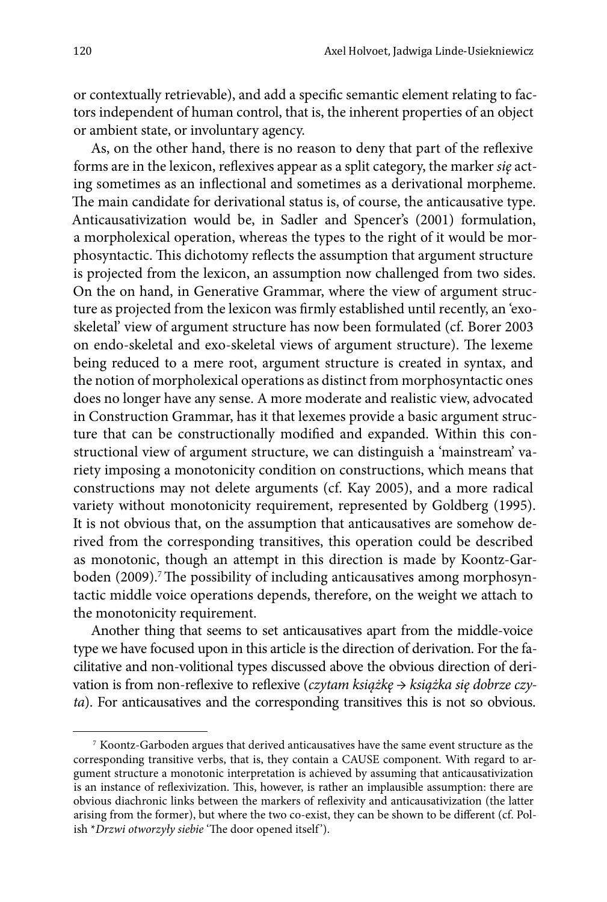or contextually retrievable), and add a specific semantic element relating to factors independent of human control, that is, the inherent properties of an object or ambient state, or involuntary agency.

As, on the other hand, there is no reason to deny that part of the reflexive forms are in the lexicon, reflexives appear as a split category, the marker *się* acting sometimes as an inflectional and sometimes as a derivational morpheme. The main candidate for derivational status is, of course, the anticausative type. Anticausativization would be, in Sadler and Spencer's (2001) formulation, a morpholexical operation, whereas the types to the right of it would be morphosyntactic. This dichotomy reflects the assumption that argument structure is projected from the lexicon, an assumption now challenged from two sides. On the on hand, in Generative Grammar, where the view of argument structure as projected from the lexicon was firmly established until recently, an 'exoskeletal' view of argument structure has now been formulated (cf. Borer 2003 on endo-skeletal and exo-skeletal views of argument structure). The lexeme being reduced to a mere root, argument structure is created in syntax, and the notion of morpholexical operations as distinct from morphosyntactic ones does no longer have any sense. A more moderate and realistic view, advocated in Construction Grammar, has it that lexemes provide a basic argument structure that can be constructionally modified and expanded. Within this constructional view of argument structure, we can distinguish a 'mainstream' variety imposing a monotonicity condition on constructions, which means that constructions may not delete arguments (cf. Kay 2005), and a more radical variety without monotonicity requirement, represented by Goldberg (1995). It is not obvious that, on the assumption that anticausatives are somehow derived from the corresponding transitives, this operation could be described as monotonic, though an attempt in this direction is made by Koontz-Garboden (2009).<sup>7</sup> The possibility of including anticausatives among morphosyntactic middle voice operations depends, therefore, on the weight we attach to the monotonicity requirement.

Another thing that seems to set anticausatives apart from the middle-voice type we have focused upon in this article is the direction of derivation. For the facilitative and non-volitional types discussed above the obvious direction of derivation is from non-reflexive to reflexive (*czytam książkę* → *książka się dobrze czyta*). For anticausatives and the corresponding transitives this is not so obvious.

<sup>7</sup> Koontz-Garboden argues that derived anticausatives have the same event structure as the corresponding transitive verbs, that is, they contain a CAUSE component. With regard to argument structure a monotonic interpretation is achieved by assuming that anticausativization is an instance of reflexivization. This, however, is rather an implausible assumption: there are obvious diachronic links between the markers of reflexivity and anticausativization (the latter arising from the former), but where the two co-exist, they can be shown to be different (cf. Polish \**Drzwi otworzyły siebie* 'The door opened itself').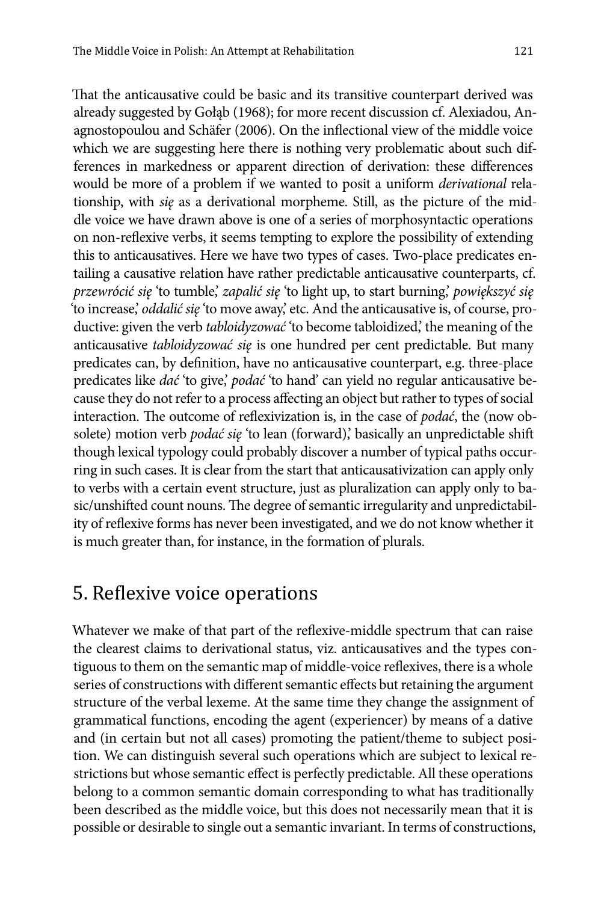That the anticausative could be basic and its transitive counterpart derived was already suggested by Gołąb (1968); for more recent discussion cf. Alexiadou, Anagnostopoulou and Schäfer (2006). On the inflectional view of the middle voice which we are suggesting here there is nothing very problematic about such differences in markedness or apparent direction of derivation: these differences would be more of a problem if we wanted to posit a uniform *derivational* relationship, with *się* as a derivational morpheme. Still, as the picture of the middle voice we have drawn above is one of a series of morphosyntactic operations on non-reflexive verbs, it seems tempting to explore the possibility of extending this to anticausatives. Here we have two types of cases. Two-place predicates entailing a causative relation have rather predictable anticausative counterparts, cf. *przewrócić się* 'to tumble,' *zapalić się* 'to light up, to start burning,' *powiększyć się*  'to increase,' *oddalić się* 'to move away,' etc. And the anticausative is, of course, productive: given the verb *tabloidyzować* 'to become tabloidized,' the meaning of the anticausative *tabloidyzować się* is one hundred per cent predictable. But many predicates can, by definition, have no anticausative counterpart, e.g. three-place predicates like *dać* 'to give,' *podać* 'to hand' can yield no regular anticausative because they do not refer to a process affecting an object but rather to types of social interaction. The outcome of reflexivization is, in the case of *podać*, the (now obsolete) motion verb *podać się* 'to lean (forward),' basically an unpredictable shift though lexical typology could probably discover a number of typical paths occurring in such cases. It is clear from the start that anticausativization can apply only to verbs with a certain event structure, just as pluralization can apply only to basic/unshifted count nouns. The degree of semantic irregularity and unpredictability of reflexive forms has never been investigated, and we do not know whether it is much greater than, for instance, in the formation of plurals.

### 5. Reflexive voice operations

Whatever we make of that part of the reflexive-middle spectrum that can raise the clearest claims to derivational status, viz. anticausatives and the types contiguous to them on the semantic map of middle-voice reflexives, there is a whole series of constructions with different semantic effects but retaining the argument structure of the verbal lexeme. At the same time they change the assignment of grammatical functions, encoding the agent (experiencer) by means of a dative and (in certain but not all cases) promoting the patient/theme to subject position. We can distinguish several such operations which are subject to lexical restrictions but whose semantic effect is perfectly predictable. All these operations belong to a common semantic domain corresponding to what has traditionally been described as the middle voice, but this does not necessarily mean that it is possible or desirable to single out a semantic invariant. In terms of constructions,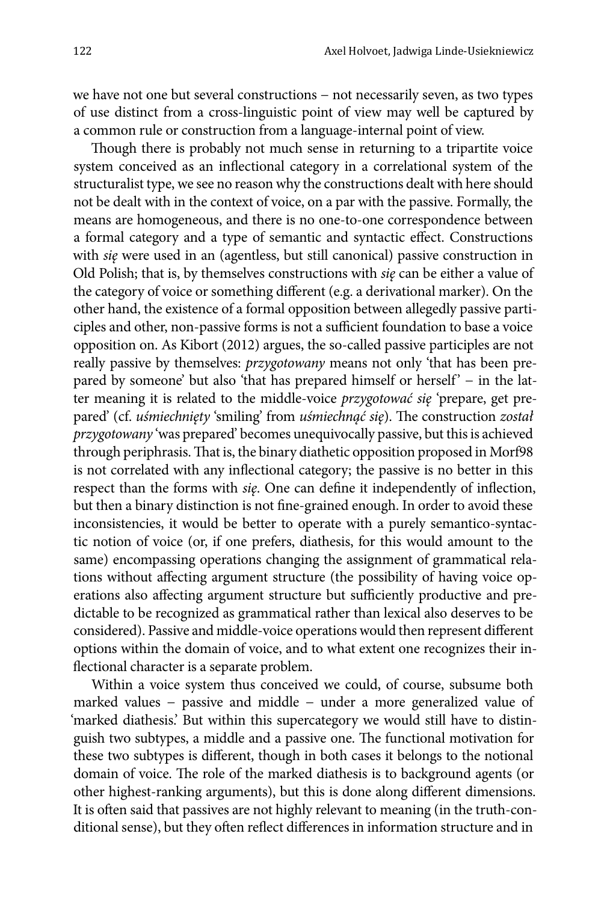we have not one but several constructions − not necessarily seven, as two types of use distinct from a cross-linguistic point of view may well be captured by a common rule or construction from a language-internal point of view.

Though there is probably not much sense in returning to a tripartite voice system conceived as an inflectional category in a correlational system of the structuralist type, we see no reason why the constructions dealt with here should not be dealt with in the context of voice, on a par with the passive. Formally, the means are homogeneous, and there is no one-to-one correspondence between a formal category and a type of semantic and syntactic effect. Constructions with *się* were used in an (agentless, but still canonical) passive construction in Old Polish; that is, by themselves constructions with *się* can be either a value of the category of voice or something different (e.g. a derivational marker). On the other hand, the existence of a formal opposition between allegedly passive participles and other, non-passive forms is not a sufficient foundation to base a voice opposition on. As Kibort (2012) argues, the so-called passive participles are not really passive by themselves: *przygotowany* means not only 'that has been prepared by someone' but also 'that has prepared himself or herself' − in the latter meaning it is related to the middle-voice *przygotować się* 'prepare, get prepared' (cf. *uśmiechnięty* 'smiling' from *uśmiechnąć się*). The construction *został przygotowany* 'was prepared' becomes unequivocally passive, but this is achieved through periphrasis. That is, the binary diathetic opposition proposed in Morf98 is not correlated with any inflectional category; the passive is no better in this respect than the forms with *się*. One can define it independently of inflection, but then a binary distinction is not fine-grained enough. In order to avoid these inconsistencies, it would be better to operate with a purely semantico-syntactic notion of voice (or, if one prefers, diathesis, for this would amount to the same) encompassing operations changing the assignment of grammatical relations without affecting argument structure (the possibility of having voice operations also affecting argument structure but sufficiently productive and predictable to be recognized as grammatical rather than lexical also deserves to be considered). Passive and middle-voice operations would then represent different options within the domain of voice, and to what extent one recognizes their inflectional character is a separate problem.

Within a voice system thus conceived we could, of course, subsume both marked values − passive and middle − under a more generalized value of 'marked diathesis.' But within this supercategory we would still have to distinguish two subtypes, a middle and a passive one. The functional motivation for these two subtypes is different, though in both cases it belongs to the notional domain of voice. The role of the marked diathesis is to background agents (or other highest-ranking arguments), but this is done along different dimensions. It is often said that passives are not highly relevant to meaning (in the truth-conditional sense), but they often reflect differences in information structure and in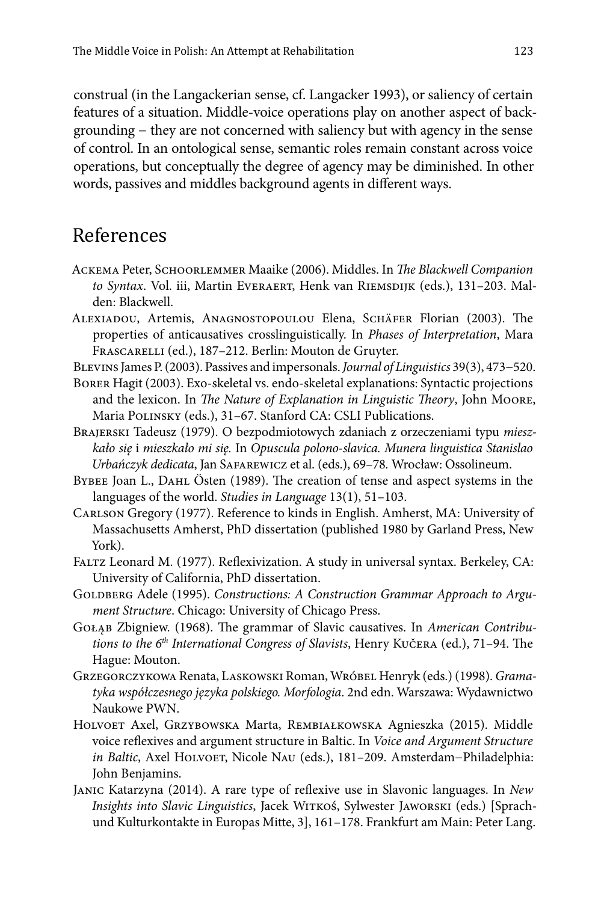construal (in the Langackerian sense, cf. Langacker 1993), or saliency of certain features of a situation. Middle-voice operations play on another aspect of backgrounding − they are not concerned with saliency but with agency in the sense of control. In an ontological sense, semantic roles remain constant across voice operations, but conceptually the degree of agency may be diminished. In other words, passives and middles background agents in different ways.

## References

- Ackema Peter, Schoorlemmer Maaike (2006). Middles. In *The Blackwell Companion to Syntax*. Vol. iii, Martin Everaert, Henk van Riemsdijk (eds.), 131–203. Malden: Blackwell.
- Alexiadou, Artemis, Anagnostopoulou Elena, Schäfer Florian (2003). The properties of anticausatives crosslinguistically. In *Phases of Interpretation*, Mara Frascarelli (ed.), 187–212. Berlin: Mouton de Gruyter.
- Blevins James P. (2003). Passives and impersonals. *Journal of Linguistics* 39(3), 473−520.
- Borer Hagit (2003). Exo-skeletal vs. endo-skeletal explanations: Syntactic projections and the lexicon. In *The Nature of Explanation in Linguistic Theory*, John Moore, Maria Polinsky (eds.), 31–67. Stanford CA: CSLI Publications.
- Brajerski Tadeusz (1979). O bezpodmiotowych zdaniach z orzeczeniami typu *mieszkało się* i *mieszkało mi się.* In *Opuscula polono-slavica. Munera linguistica Stanislao Urbańczyk dedicata*, Jan Safarewicz et al. (eds.), 69–78*.* Wrocław: Ossolineum.
- BYBEE JOAN L., DAHL Östen (1989). The creation of tense and aspect systems in the languages of the world. *Studies in Language* 13(1), 51–103.
- Carlson Gregory (1977). Reference to kinds in English. Amherst, MA: University of Massachusetts Amherst, PhD dissertation (published 1980 by Garland Press, New York).
- Faltz Leonard M. (1977). Reflexivization. A study in universal syntax. Berkeley, CA: University of California, PhD dissertation.
- GOLDBERG Adele (1995). *Constructions: A Construction Grammar Approach to Argument Structure*. Chicago: University of Chicago Press.
- Gołąb Zbigniew. (1968). The grammar of Slavic causatives. In *American Contributions to the 6th International Congress of Slavists*, Henry Kučera (ed.), 71–94. The Hague: Mouton.
- Grzegorczykowa Renata, Laskowski Roman, Wróbel Henryk (eds.) (1998). *Gramatyka współczesnego języka polskiego. Morfologia*. 2nd edn. Warszawa: Wydawnictwo Naukowe PWN.
- HOLVOET Axel, GRZYBOWSKA Marta, REMBIAŁKOWSKA Agnieszka (2015). Middle voice reflexives and argument structure in Baltic. In *Voice and Argument Structure in Baltic*, Axel HOLVOET, Nicole NAU (eds.), 181-209. Amsterdam-Philadelphia: John Benjamins.
- Janic Katarzyna (2014). A rare type of reflexive use in Slavonic languages. In *New Insights into Slavic Linguistics*, Jacek Witkoś, Sylwester Jaworski (eds.) [Sprachund Kulturkontakte in Europas Mitte, 3], 161–178. Frankfurt am Main: Peter Lang.